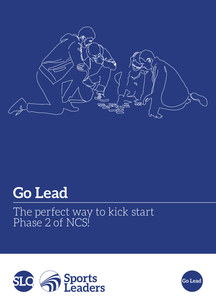

# **Go Lead**

## The perfect way to kick start Phase 2 of NCS!



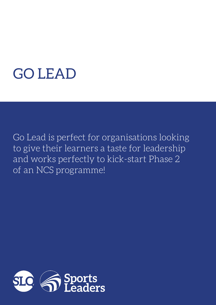# GO LEAD

Go Lead is perfect for organisations looking to give their learners a taste for leadership and works perfectly to kick-start Phase 2 of an NCS programme!

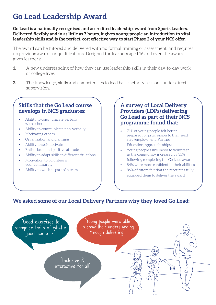### **Go Lead Leadership Award**

**Go Lead is a nationally recognised and accredited leadership award from Sports Leaders. Delivered flexibly and in as little as 7 hours, it gives young people an introduction to vital leadership skills and is the perfect, cost effective way to start Phase 2 of your NCS offer.**

The award can be tutored and delivered with no formal training or assessment, and requires no previous awards or qualifications. Designed for learners aged 16 and over, the award gives learners:

- **1.** A new understanding of how they can use leadership skills in their day-to-day work or college lives.
- **2.** The knowledge, skills and competencies to lead basic activity sessions under direct supervision.

#### **Skills that the Go Lead course develops in NCS graduates:**

- Ability to communicate verbally with others
- Ability to communicate non-verbally
- Motivating others
- Organisation and planning
- Ability to self-motivate
- Enthusiasm and positive attitude
- Ability to adapt skills to different situations
- Motivation to volunteer in your community
- Ability to work as part of a team

#### **A survey of Local Delivery Providers (LDPs) delivering Go Lead as part of their NCS programme found that:**

- 71% of young people felt better prepared for progression to their next step (employment, Further Education, apprenticeships)
- Young people's likelihood to volunteer in the community increased by 35% following completing the Go Lead award
- 84% were more confident in their abilities
- 86% of tutors felt that the resources fully equipped them to deliver the award

#### **We asked some of our Local Delivery Partners why they loved Go Lead:**